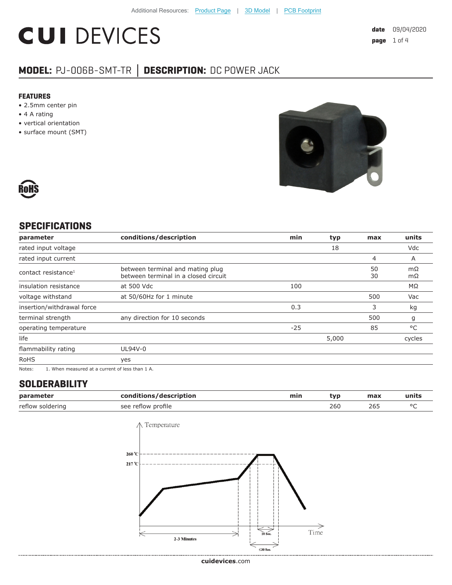# **CUI DEVICES**

### **MODEL:** PJ-006B-SMT-TR **│ DESCRIPTION:** DC POWER JACK

#### **FEATURES**

- 2.5mm center pin
- 4 A rating
- vertical orientation
- surface mount (SMT)





#### **SPECIFICATIONS**

| parameter                       | conditions/description                                                   | min   | typ   | max      | units           |
|---------------------------------|--------------------------------------------------------------------------|-------|-------|----------|-----------------|
| rated input voltage             |                                                                          |       | 18    |          | Vdc             |
| rated input current             |                                                                          |       |       | 4        | A               |
| contact resistance <sup>1</sup> | between terminal and mating plug<br>between terminal in a closed circuit |       |       | 50<br>30 | mΩ<br>$m\Omega$ |
| insulation resistance           | at 500 Vdc                                                               | 100   |       |          | MΩ              |
| voltage withstand               | at 50/60Hz for 1 minute                                                  |       |       | 500      | Vac             |
| insertion/withdrawal force      |                                                                          | 0.3   |       | 3        | kg              |
| terminal strength               | any direction for 10 seconds                                             |       |       | 500      | g               |
| operating temperature           |                                                                          | $-25$ |       | 85       | °C              |
| life                            |                                                                          |       | 5,000 |          | cycles          |
| flammability rating             | UL94V-0                                                                  |       |       |          |                 |
| <b>RoHS</b>                     | yes                                                                      |       |       |          |                 |

Notes: 1. When measured at a current of less than 1 A.

#### **SOLDERABILITY**

| parameter        | conditions/description | min | :VD | max | units |
|------------------|------------------------|-----|-----|-----|-------|
| reflow soldering | see reflow profile     |     | 260 | 26! |       |

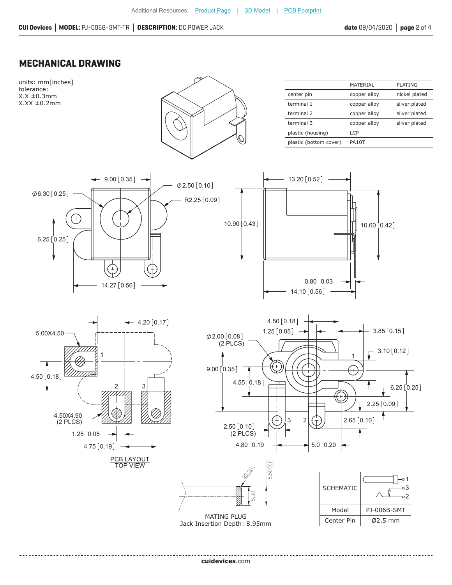#### **MECHANICAL DRAWING**

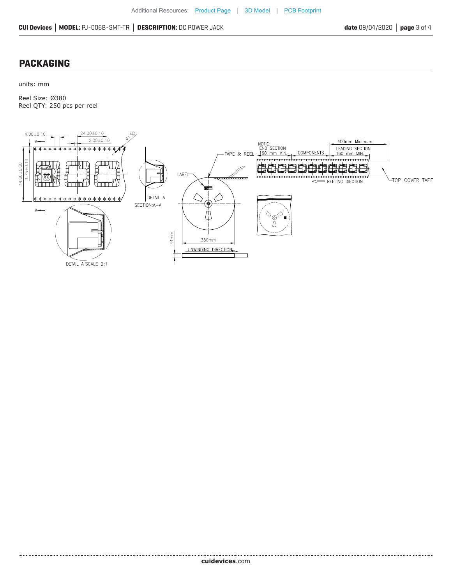#### **PACKAGING**

units: mm

........................

Reel Size: Ø380 Reel QTY: 250 pcs per reel